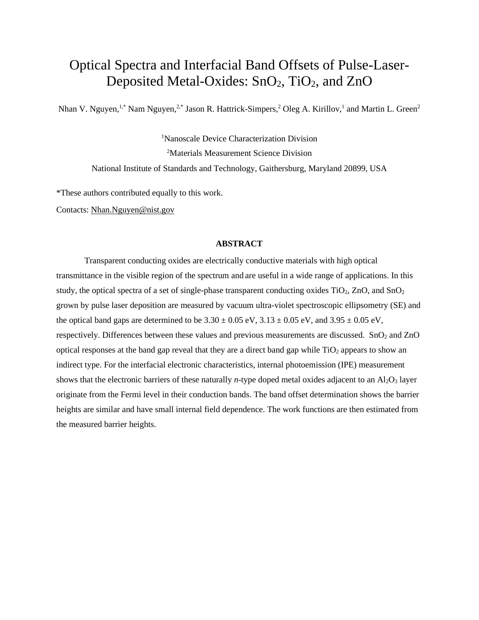## Optical Spectra and Interfacial Band Offsets of Pulse-Laser-Deposited Metal-Oxides:  $SnO<sub>2</sub>$ , TiO<sub>2</sub>, and ZnO

Nhan V. Nguyen,<sup>1,\*</sup> Nam Nguyen,<sup>2,\*</sup> Jason R. Hattrick-Simpers,<sup>2</sup> Oleg A. Kirillov,<sup>1</sup> and Martin L. Green<sup>2</sup>

1 Nanoscale Device Characterization Division 2 Materials Measurement Science Division National Institute of Standards and Technology, Gaithersburg, Maryland 20899, USA

\*These authors contributed equally to this work.

Contacts: [Nhan.Nguyen@nist.gov](mailto:Nhan.Nguyen@nist.gov)

## **ABSTRACT**

Transparent conducting oxides are electrically conductive materials with high optical transmittance in the visible region of the spectrum and are useful in a wide range of applications. In this study, the optical spectra of a set of single-phase transparent conducting oxides  $TiO<sub>2</sub>$ , ZnO, and SnO<sub>2</sub> grown by pulse laser deposition are measured by vacuum ultra-violet spectroscopic ellipsometry (SE) and the optical band gaps are determined to be  $3.30 \pm 0.05$  eV,  $3.13 \pm 0.05$  eV, and  $3.95 \pm 0.05$  eV, respectively. Differences between these values and previous measurements are discussed. SnO<sub>2</sub> and ZnO optical responses at the band gap reveal that they are a direct band gap while  $TiO<sub>2</sub>$  appears to show an indirect type. For the interfacial electronic characteristics, internal photoemission (IPE) measurement shows that the electronic barriers of these naturally *n*-type doped metal oxides adjacent to an Al<sub>2</sub>O<sub>3</sub> layer originate from the Fermi level in their conduction bands. The band offset determination shows the barrier heights are similar and have small internal field dependence. The work functions are then estimated from the measured barrier heights.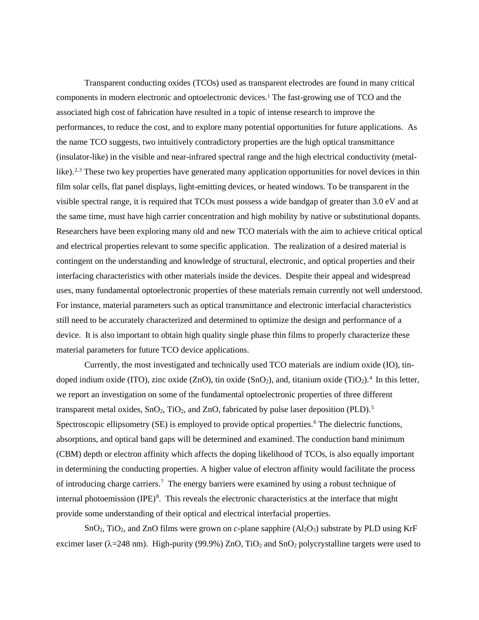Transparent conducting oxides (TCOs) used as transparent electrodes are found in many critical components in modern electronic and optoelectronic devices. [1](#page-13-0) The fast-growing use of TCO and the associated high cost of fabrication have resulted in a topic of intense research to improve the performances, to reduce the cost, and to explore many potential opportunities for future applications. As the name TCO suggests, two intuitively contradictory properties are the high optical transmittance (insulator-like) in the visible and near-infrared spectral range and the high electrical conductivity (metal-like).<sup>2,[3](#page-13-2)</sup> These two key properties have generated many application opportunities for novel devices in thin film solar cells, flat panel displays, light-emitting devices, or heated windows. To be transparent in the visible spectral range, it is required that TCOs must possess a wide bandgap of greater than 3.0 eV and at the same time, must have high carrier concentration and high mobility by native or substitutional dopants. Researchers have been exploring many old and new TCO materials with the aim to achieve critical optical and electrical properties relevant to some specific application. The realization of a desired material is contingent on the understanding and knowledge of structural, electronic, and optical properties and their interfacing characteristics with other materials inside the devices. Despite their appeal and widespread uses, many fundamental optoelectronic properties of these materials remain currently not well understood. For instance, material parameters such as optical transmittance and electronic interfacial characteristics still need to be accurately characterized and determined to optimize the design and performance of a device. It is also important to obtain high quality single phase thin films to properly characterize these material parameters for future TCO device applications.

Currently, the most investigated and technically used TCO materials are indium oxide (IO), tin-doped indium oxide (ITO), zinc oxide (ZnO), tin oxide (SnO<sub>2</sub>), and, titanium oxide (TiO<sub>2</sub>).<sup>[4](#page-13-3)</sup> In this letter, we report an investigation on some of the fundamental optoelectronic properties of three different transparent metal oxides,  $SnO<sub>2</sub>$ , TiO<sub>2</sub>, and ZnO, fabricated by pulse laser deposition (PLD).<sup>[5](#page-13-4)</sup> Spectroscopic ellipsometry (SE) is employed to provide optical properties.<sup>[6](#page-13-5)</sup> The dielectric functions, absorptions, and optical band gaps will be determined and examined. The conduction band minimum (CBM) depth or electron affinity which affects the doping likelihood of TCOs, is also equally important in determining the conducting properties. A higher value of electron affinity would facilitate the process of introducing charge carriers.<sup>[7](#page-13-6)</sup> The energy barriers were examined by using a robust technique of internal photoemission  $(IPE)^8$  $(IPE)^8$ . This reveals the electronic characteristics at the interface that might provide some understanding of their optical and electrical interfacial properties.

SnO<sub>2</sub>, TiO<sub>2</sub>, and ZnO films were grown on *c*-plane sapphire  $(Al_2O_3)$  substrate by PLD using KrF excimer laser ( $\lambda$ =248 nm). High-purity (99.9%) ZnO, TiO<sub>2</sub> and SnO<sub>2</sub> polycrystalline targets were used to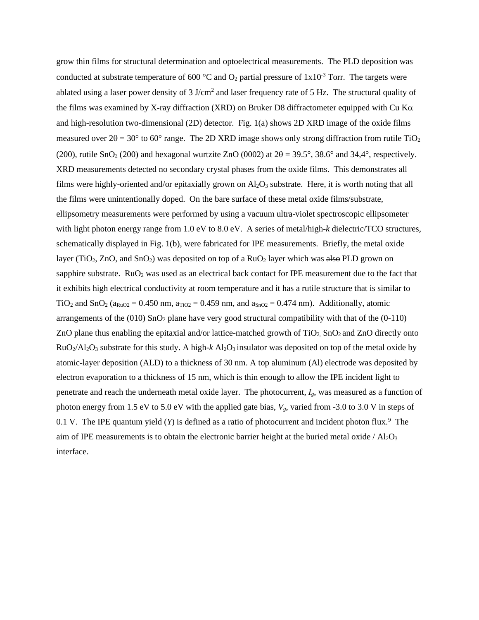grow thin films for structural determination and optoelectrical measurements. The PLD deposition was conducted at substrate temperature of 600  $^{\circ}$ C and O<sub>2</sub> partial pressure of 1x10<sup>-3</sup> Torr. The targets were ablated using a laser power density of 3 J/cm<sup>2</sup> and laser frequency rate of 5 Hz. The structural quality of the films was examined by X-ray diffraction (XRD) on Bruker D8 diffractometer equipped with Cu Kα and high-resolution two-dimensional (2D) detector. Fig. 1(a) shows 2D XRD image of the oxide films measured over  $2\theta = 30^{\circ}$  to 60° range. The 2D XRD image shows only strong diffraction from rutile TiO<sub>2</sub> (200), rutile SnO<sub>2</sub> (200) and hexagonal wurtzite ZnO (0002) at  $2\theta = 39.5^{\circ}$ , 38.6° and 34,4°, respectively. XRD measurements detected no secondary crystal phases from the oxide films. This demonstrates all films were highly-oriented and/or epitaxially grown on  $Al_2O_3$  substrate. Here, it is worth noting that all the films were unintentionally doped. On the bare surface of these metal oxide films/substrate, ellipsometry measurements were performed by using a vacuum ultra-violet spectroscopic ellipsometer with light photon energy range from 1.0 eV to 8.0 eV. A series of metal/high-*k* dielectric/TCO structures, schematically displayed in Fig. 1(b), were fabricated for IPE measurements. Briefly, the metal oxide layer (TiO<sub>2</sub>, ZnO, and SnO<sub>2</sub>) was deposited on top of a  $RuO<sub>2</sub>$  layer which was also PLD grown on sapphire substrate.  $RuO<sub>2</sub>$  was used as an electrical back contact for IPE measurement due to the fact that it exhibits high electrical conductivity at room temperature and it has a rutile structure that is similar to  $TiO<sub>2</sub>$  and SnO<sub>2</sub> (a<sub>RuO2</sub> = 0.450 nm, a<sub>TiO2</sub> = 0.459 nm, and a<sub>SnO2</sub> = 0.474 nm). Additionally, atomic arrangements of the  $(010)$  SnO<sub>2</sub> plane have very good structural compatibility with that of the  $(0-110)$ ZnO plane thus enabling the epitaxial and/or lattice-matched growth of  $TiO<sub>2</sub>$  SnO<sub>2</sub> and ZnO directly onto RuO2/Al2O3 substrate for this study. A high-*k* Al2O3 insulator was deposited on top of the metal oxide by atomic-layer deposition (ALD) to a thickness of 30 nm. A top aluminum (Al) electrode was deposited by electron evaporation to a thickness of 15 nm, which is thin enough to allow the IPE incident light to penetrate and reach the underneath metal oxide layer. The photocurrent, *Ig*, was measured as a function of photon energy from 1.5 eV to 5.0 eV with the applied gate bias,  $V_g$ , varied from -3.0 to 3.0 V in steps of 0.1 V. The IPE quantum yield  $(Y)$  is defined as a ratio of photocurrent and incident photon flux.<sup>[9](#page-14-0)</sup> The aim of IPE measurements is to obtain the electronic barrier height at the buried metal oxide /  $Al_2O_3$ interface.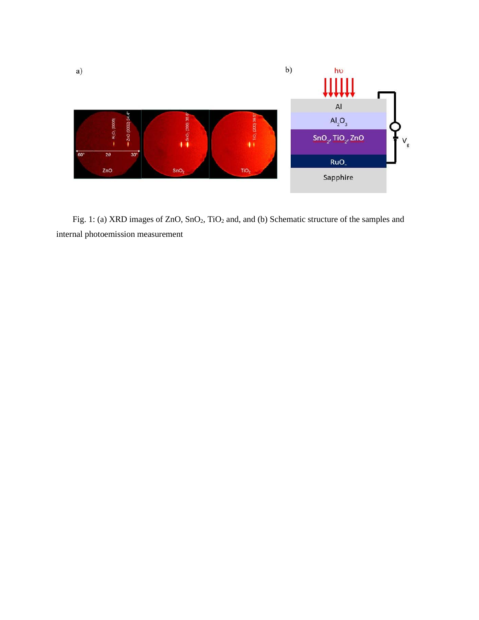

Fig. 1: (a) XRD images of ZnO, SnO<sub>2</sub>, TiO<sub>2</sub> and, and (b) Schematic structure of the samples and internal photoemission measurement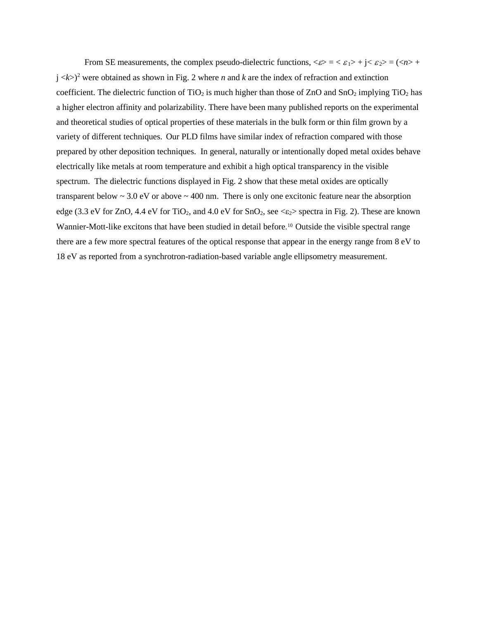From SE measurements, the complex pseudo-dielectric functions,  $\langle \varepsilon \rangle = \langle \varepsilon_1 \rangle + j \langle \varepsilon_2 \rangle = (\langle n \rangle +$  $j \ll k$ )<sup>2</sup> were obtained as shown in Fig. 2 where *n* and *k* are the index of refraction and extinction coefficient. The dielectric function of  $TiO<sub>2</sub>$  is much higher than those of  $ZnO$  and  $SnO<sub>2</sub>$  implying  $TiO<sub>2</sub>$  has a higher electron affinity and polarizability. There have been many published reports on the experimental and theoretical studies of optical properties of these materials in the bulk form or thin film grown by a variety of different techniques. Our PLD films have similar index of refraction compared with those prepared by other deposition techniques. In general, naturally or intentionally doped metal oxides behave electrically like metals at room temperature and exhibit a high optical transparency in the visible spectrum. The dielectric functions displayed in Fig. 2 show that these metal oxides are optically transparent below  $\sim$  3.0 eV or above  $\sim$  400 nm. There is only one excitonic feature near the absorption edge (3.3 eV for ZnO, 4.4 eV for TiO<sub>2</sub>, and 4.0 eV for SnO<sub>2</sub>, see  $\langle \epsilon_2 \rangle$  spectra in Fig. 2). These are known Wannier-Mott-like excitons that have been studied in detail before.<sup>[10](#page-14-1)</sup> Outside the visible spectral range there are a few more spectral features of the optical response that appear in the energy range from 8 eV to 18 eV as reported from a synchrotron-radiation-based variable angle ellipsometry measurement.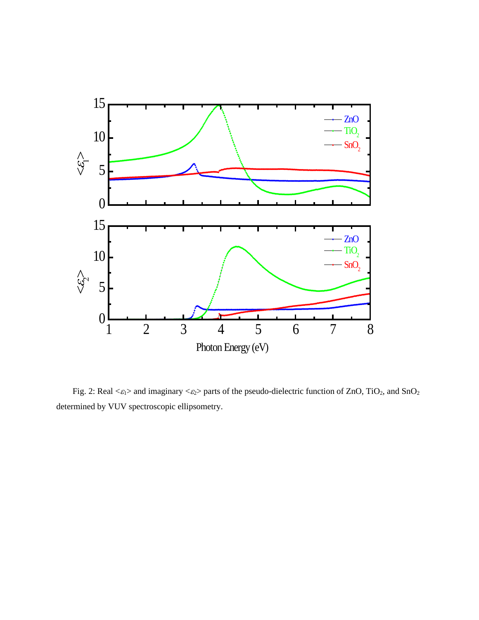

Fig. 2: Real  $\langle \varepsilon_1 \rangle$  and imaginary  $\langle \varepsilon_2 \rangle$  parts of the pseudo-dielectric function of ZnO, TiO<sub>2</sub>, and SnO<sub>2</sub> determined by VUV spectroscopic ellipsometry.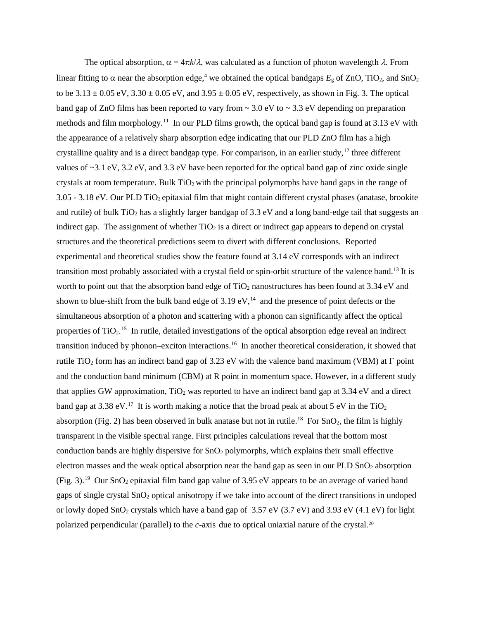The optical absorption,  $\alpha = 4\pi k/\lambda$ , was calculated as a function of photon wavelength  $\lambda$ . From linear fitting to  $\alpha$  near the absorption edge,<sup>4</sup> we obtained the optical bandgaps  $E_g$  of ZnO, TiO<sub>2</sub>, and SnO<sub>2</sub> to be  $3.13 \pm 0.05$  eV,  $3.30 \pm 0.05$  eV, and  $3.95 \pm 0.05$  eV, respectively, as shown in Fig. 3. The optical band gap of ZnO films has been reported to vary from  $\sim$  3.0 eV to  $\sim$  3.3 eV depending on preparation methods and film morphology.<sup>11</sup> In our PLD films growth, the optical band gap is found at 3.13 eV with the appearance of a relatively sharp absorption edge indicating that our PLD ZnO film has a high crystalline quality and is a direct bandgap type. For comparison, in an earlier study,  $12$  three different values of ~3.1 eV, 3.2 eV, and 3.3 eV have been reported for the optical band gap of zinc oxide single crystals at room temperature. Bulk  $TiO<sub>2</sub>$  with the principal polymorphs have band gaps in the range of 3.05 - 3.18 eV. Our PLD TiO2 epitaxial film that might contain different crystal phases (anatase, brookite and rutile) of bulk  $TiO<sub>2</sub>$  has a slightly larger bandgap of 3.3 eV and a long band-edge tail that suggests an indirect gap. The assignment of whether  $TiO<sub>2</sub>$  is a direct or indirect gap appears to depend on crystal structures and the theoretical predictions seem to divert with different conclusions. Reported experimental and theoretical studies show the feature found at 3.14 eV corresponds with an indirect transition most probably associated with a crystal field or spin-orbit structure of the valence band.[13](#page-14-4) It is worth to point out that the absorption band edge of  $TiO<sub>2</sub>$  nanostructures has been found at 3.34 eV and shown to blue-shift from the bulk band edge of  $3.19 \text{ eV}$ ,<sup>14</sup> and the presence of point defects or the simultaneous absorption of a photon and scattering with a phonon can significantly affect the optical properties of  $TiO<sub>2</sub>$ .<sup>[15](#page-14-6)</sup> In rutile, detailed investigations of the optical absorption edge reveal an indirect transition induced by phonon–exciton interactions.[16](#page-14-7) In another theoretical consideration, it showed that rutile TiO<sub>2</sub> form has an indirect band gap of 3.23 eV with the valence band maximum (VBM) at  $\Gamma$  point and the conduction band minimum (CBM) at R point in momentum space. However, in a different study that applies GW approximation,  $TiO<sub>2</sub>$  was reported to have an indirect band gap at 3.34 eV and a direct band gap at 3.38 eV.<sup>17</sup> It is worth making a notice that the broad peak at about 5 eV in the TiO<sub>2</sub> absorption (Fig. 2) has been observed in bulk anatase but not in rutile.<sup>18</sup> For  $SnO<sub>2</sub>$ , the film is highly transparent in the visible spectral range. First principles calculations reveal that the bottom most conduction bands are highly dispersive for  $SnO<sub>2</sub>$  polymorphs, which explains their small effective electron masses and the weak optical absorption near the band gap as seen in our PLD SnO<sub>2</sub> absorption (Fig. 3).<sup>[19](#page-14-10)</sup> Our SnO<sub>2</sub> epitaxial film band gap value of 3.95 eV appears to be an average of varied band gaps of single crystal SnO2 optical anisotropy if we take into account of the direct transitions in undoped or lowly doped  $SnO<sub>2</sub>$  crystals which have a band gap of 3.57 eV (3.7 eV) and 3.93 eV (4.1 eV) for light polarized perpendicular (parallel) to the *c*-axis due to optical uniaxial nature of the crystal. [20](#page-14-11)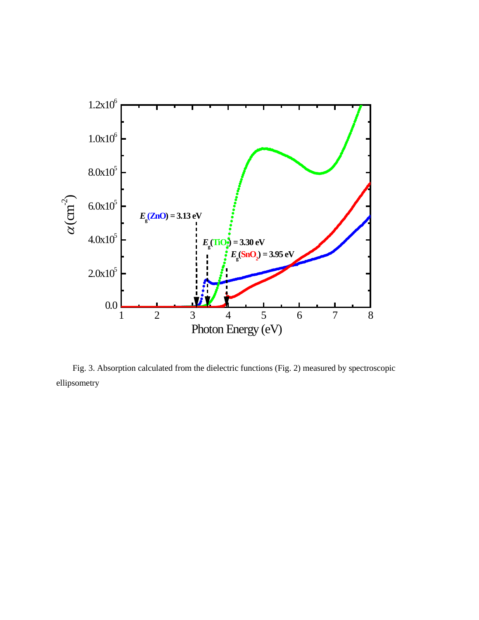

Fig. 3. Absorption calculated from the dielectric functions (Fig. 2) measured by spectroscopic ellipsometry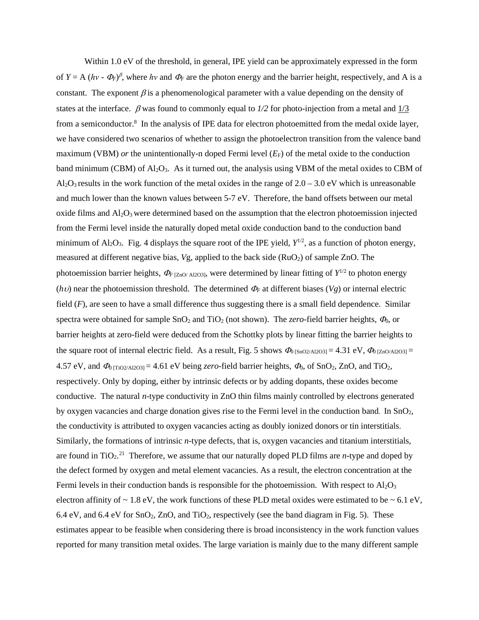Within 1.0 eV of the threshold, in general, IPE yield can be approximately expressed in the form of  $Y = A (hv - \Phi_F)^{\beta}$ , where *hv* and  $\Phi_F$  are the photon energy and the barrier height, respectively, and A is a constant. The exponent  $\beta$  is a phenomenological parameter with a value depending on the density of states at the interface. β was found to commonly equal to *1/2* for photo-injection from a metal and 1/3 from a semiconductor.<sup>8</sup> In the analysis of IPE data for electron photoemitted from the medal oxide layer, we have considered two scenarios of whether to assign the photoelectron transition from the valence band maximum (VBM) *or* the unintentionally-n doped Fermi level  $(E_F)$  of the metal oxide to the conduction band minimum (CBM) of  $Al_2O_3$ . As it turned out, the analysis using VBM of the metal oxides to CBM of  $Al_2O_3$  results in the work function of the metal oxides in the range of  $2.0 - 3.0$  eV which is unreasonable and much lower than the known values between 5-7 eV. Therefore, the band offsets between our metal oxide films and  $A_1Q_3$  were determined based on the assumption that the electron photoemission injected from the Fermi level inside the naturally doped metal oxide conduction band to the conduction band minimum of  $Al_2O_3$ . Fig. 4 displays the square root of the IPE yield,  $Y^{1/2}$ , as a function of photon energy, measured at different negative bias, *Vg*, applied to the back side (RuO<sub>2</sub>) of sample ZnO. The photoemission barrier heights,  $\Phi$ *F* [ZnO/ Al2O3], were determined by linear fitting of  $Y^{1/2}$  to photon energy (*h*υ) near the photoemission threshold. The determined  $\Phi_F$  at different biases (*Vg*) or internal electric field (*F*), are seen to have a small difference thus suggesting there is a small field dependence. Similar spectra were obtained for sample  $SnO<sub>2</sub>$  and  $TiO<sub>2</sub>$  (not shown). The *zero*-field barrier heights,  $\Phi<sub>0</sub>$ , or barrier heights at zero-field were deduced from the Schottky plots by linear fitting the barrier heights to the square root of internal electric field. As a result, Fig. 5 shows  $\Phi_{0}$  [SnO2/Al2O3] = 4.31 eV,  $\Phi_{0}$  [ZnO/Al2O3] = 4.57 eV, and  $\Phi_0$  [TiO2/Al2O3] = 4.61 eV being *zero*-field barrier heights,  $\Phi_0$ , of SnO<sub>2</sub>, ZnO, and TiO<sub>2</sub>, respectively. Only by doping, either by intrinsic defects or by adding dopants, these oxides become conductive. The natural *n*-type conductivity in ZnO thin films mainly controlled by electrons generated by oxygen vacancies and charge donation gives rise to the Fermi level in the conduction band. In  $SnO<sub>2</sub>$ , the conductivity is attributed to oxygen vacancies acting as doubly ionized donors or tin interstitials. Similarly, the formations of intrinsic *n*-type defects, that is, oxygen vacancies and titanium interstitials, are found in  $TiO<sub>2</sub>$ .<sup>[21](#page-14-12)</sup> Therefore, we assume that our naturally doped PLD films are *n*-type and doped by the defect formed by oxygen and metal element vacancies. As a result, the electron concentration at the Fermi levels in their conduction bands is responsible for the photoemission. With respect to  $\text{Al}_2\text{O}_3$ electron affinity of  $\sim 1.8$  eV, the work functions of these PLD metal oxides were estimated to be  $\sim 6.1$  eV, 6.4 eV, and 6.4 eV for  $SnO<sub>2</sub>$ ,  $ZnO$ , and  $TiO<sub>2</sub>$ , respectively (see the band diagram in Fig. 5). These estimates appear to be feasible when considering there is broad inconsistency in the work function values reported for many transition metal oxides. The large variation is mainly due to the many different sample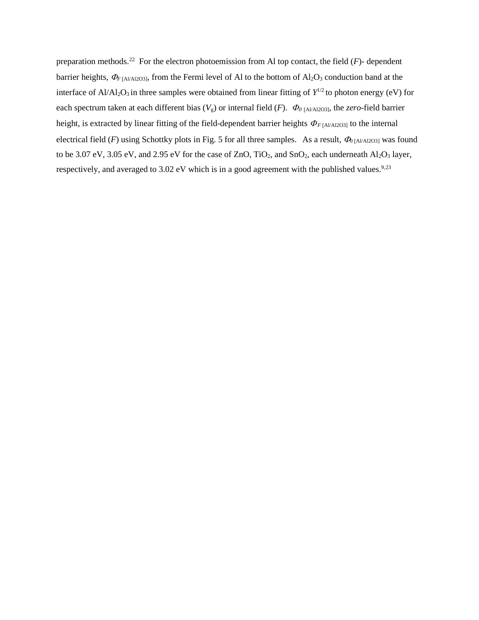preparation methods.<sup>[22](#page-14-13)</sup> For the electron photoemission from Al top contact, the field  $(F)$ - dependent barrier heights,  $\Phi$ <sub>F [Al/Al2O3]</sub>, from the Fermi level of Al to the bottom of Al<sub>2</sub>O<sub>3</sub> conduction band at the interface of  $Al/Al_2O_3$  in three samples were obtained from linear fitting of  $Y^{1/2}$  to photon energy (eV) for each spectrum taken at each different bias  $(V_g)$  or internal field  $(F)$ .  $\Phi_0$  [Al/Al2O3], the *zero*-field barrier height, is extracted by linear fitting of the field-dependent barrier heights  $\Phi$ <sub>*F*[Al/Al2O3]</sub> to the internal electrical field (*F*) using Schottky plots in Fig. 5 for all three samples. As a result,  $\Phi_{0}$  [Al/Al2O3] was found to be 3.07 eV, 3.05 eV, and 2.95 eV for the case of ZnO, TiO<sub>2</sub>, and SnO<sub>2</sub>, each underneath Al<sub>2</sub>O<sub>3</sub> layer, respectively, and averaged to 3.02 eV which is in a good agreement with the published values.<sup>9,[23](#page-14-14)</sup>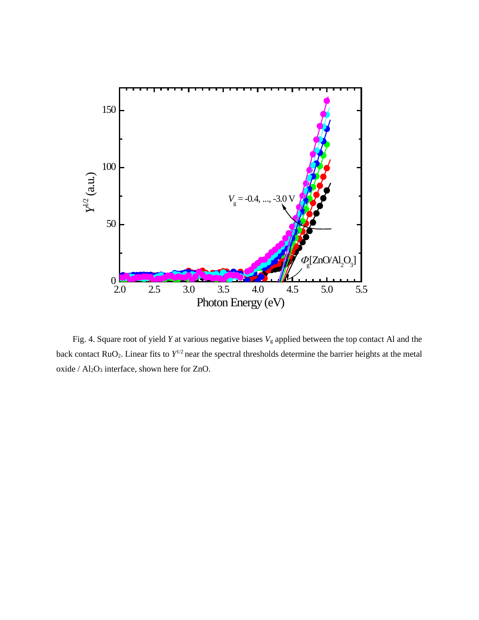

Fig. 4. Square root of yield *Y* at various negative biases  $V<sub>g</sub>$  applied between the top contact Al and the back contact RuO2. Linear fits to *Y*1/2 near the spectral thresholds determine the barrier heights at the metal oxide /  $Al_2O_3$  interface, shown here for ZnO.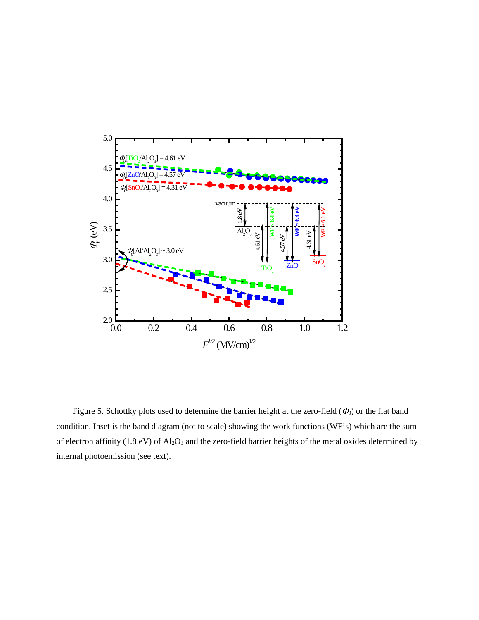

Figure 5. Schottky plots used to determine the barrier height at the zero-field  $(\Phi_0)$  or the flat band condition. Inset is the band diagram (not to scale) showing the work functions (WF's) which are the sum of electron affinity (1.8 eV) of Al<sub>2</sub>O<sub>3</sub> and the zero-field barrier heights of the metal oxides determined by internal photoemission (see text).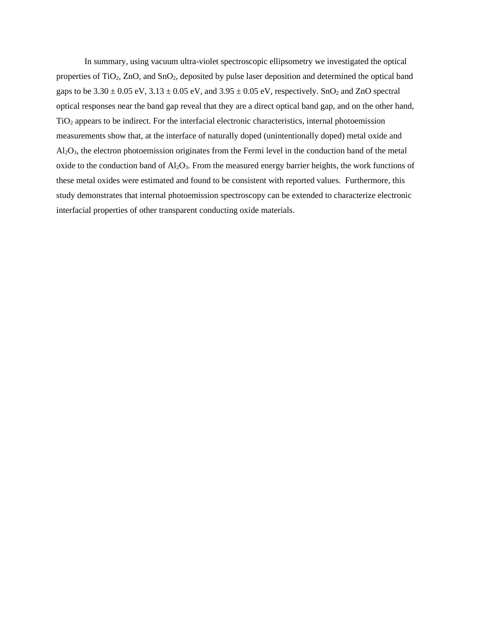In summary, using vacuum ultra-violet spectroscopic ellipsometry we investigated the optical properties of TiO2, ZnO, and SnO2, deposited by pulse laser deposition and determined the optical band gaps to be  $3.30 \pm 0.05$  eV,  $3.13 \pm 0.05$  eV, and  $3.95 \pm 0.05$  eV, respectively. SnO<sub>2</sub> and ZnO spectral optical responses near the band gap reveal that they are a direct optical band gap, and on the other hand, TiO2 appears to be indirect. For the interfacial electronic characteristics, internal photoemission measurements show that, at the interface of naturally doped (unintentionally doped) metal oxide and Al2O3, the electron photoemission originates from the Fermi level in the conduction band of the metal oxide to the conduction band of Al<sub>2</sub>O<sub>3</sub>. From the measured energy barrier heights, the work functions of these metal oxides were estimated and found to be consistent with reported values. Furthermore, this study demonstrates that internal photoemission spectroscopy can be extended to characterize electronic interfacial properties of other transparent conducting oxide materials.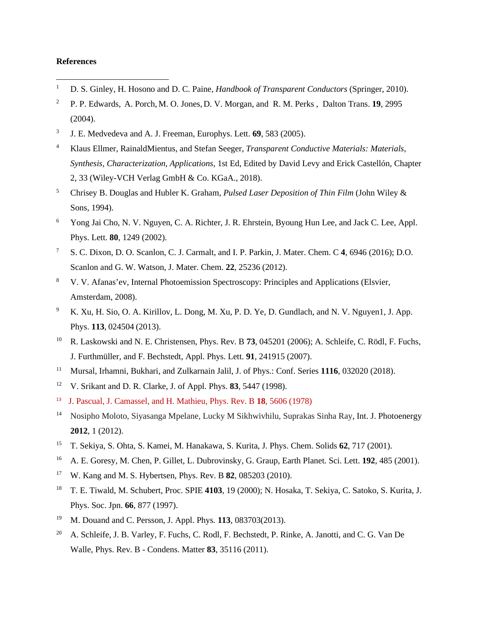## **References**

- <span id="page-13-0"></span><sup>1</sup> D. S. Ginley, H. Hosono and D. C. Paine, *Handbook of Transparent Conductors* (Springer, 2010).
- <span id="page-13-1"></span><sup>2</sup> [P. P. Edwards,](https://pubs.rsc.org/en/results?searchtext=Author%3AP.%20P.%20Edwards) [A. Porch,](https://pubs.rsc.org/en/results?searchtext=Author%3AA.%20Porch) [M. O. Jones,](https://pubs.rsc.org/en/results?searchtext=Author%3AM.%20O.%20Jones) [D. V. Morgan,](https://pubs.rsc.org/en/results?searchtext=Author%3AD.%20V.%20Morgan) and [R. M. Perks](https://pubs.rsc.org/en/results?searchtext=Author%3AR.%20M.%20Perks) , Dalton Trans. **19***,* 2995 (2004).
- <span id="page-13-2"></span><sup>3</sup> J. E. Medvedeva and A. J. Freeman, Europhys. Lett. **69**, 583 (2005).
- <span id="page-13-3"></span><sup>4</sup> Klaus Ellmer, RainaldMientus, and Stefan Seeger, *Transparent Conductive Materials: Materials, Synthesis, Characterization, Applications*, 1st Ed, Edited by David Levy and Erick Castellón, Chapter 2, 33 (Wiley-VCH Verlag GmbH & Co. KGaA., 2018).
- <span id="page-13-4"></span><sup>5</sup> Chrisey B. Douglas and Hubler K. Graham, *Pulsed Laser Deposition of Thin Film* (John Wiley & Sons, 1994).
- <span id="page-13-5"></span><sup>6</sup> Yong Jai Cho, N. V. Nguyen, C. A. Richter, J. R. Ehrstein, Byoung Hun Lee, and Jack C. Lee, Appl. Phys. Lett. **80**, 1249 (2002).
- <span id="page-13-6"></span><sup>7</sup> S. C. Dixon, D. O. Scanlon, C. J. Carmalt, and I. P. Parkin, J. Mater. Chem. C **4**, 6946 (2016); D.O. Scanlon and G. W. Watson, J. Mater. Chem. **22**, 25236 (2012).
- <span id="page-13-7"></span><sup>8</sup> V. V. Afanas'ev, Internal Photoemission Spectroscopy: Principles and Applications (Elsvier, Amsterdam, 2008).
- <sup>9</sup> K. Xu, H. Sio, O. A. Kirillov, L. Dong, M. Xu, P. D. Ye, D. Gundlach, and N. V. Nguyen1, J. App. Phys. **113**, 024504 (2013).
- <sup>10</sup> R. Laskowski and N. E. Christensen, Phys. Rev. B **73**, 045201 (2006); A. Schleife, C. Rödl, F. Fuchs, J. Furthmüller, and F. Bechstedt, Appl. Phys. Lett. **91**, 241915 (2007).
- <sup>11</sup> Mursal, Irhamni, Bukhari, and Zulkarnain Jalil, J. of Phys.: Conf. Series **1116**, 032020 (2018).
- <sup>12</sup> V. Srikant and D. R. Clarke, J. of Appl. Phys. **83**, 5447 (1998).
- 13 J. Pascual, J. Camassel, and H. Mathieu, Phys. Rev. B **18**, 5606 (1978)
- <sup>14</sup> Nosipho Moloto, Siyasanga Mpelane, Lucky M Sikhwivhilu, Suprakas Sinha Ray, Int. J. Photoenergy **2012**, 1 (2012).
- <sup>15</sup> T. Sekiya, S. Ohta, S. Kamei, M. Hanakawa, S. Kurita, J. Phys. Chem. Solids **62**, 717 (2001).
- <sup>16</sup> A. E. Goresy, M. Chen, P. Gillet, L. Dubrovinsky, G. Graup, Earth Planet. Sci. Lett. **192**, 485 (2001).
- <sup>17</sup> W. Kang and M. S. Hybertsen, Phys. Rev. B **82**, 085203 (2010).
- <sup>18</sup> T. E. Tiwald, M. Schubert, Proc. SPIE **4103**, 19 (2000); N. Hosaka, T. Sekiya, C. Satoko, S. Kurita, J. Phys. Soc. Jpn. **66**, 877 (1997).
- <sup>19</sup> M. Douand and C. Persson, J. Appl. Phys*.* **113**, 083703(2013).
- <sup>20</sup> [A. Schleife,](https://experts.illinois.edu/en/persons/andre-schleife) J. B. Varley, F. Fuchs, C. Rodl, F. Bechstedt, P. Rinke, A. Janotti, and C. G. Van De Walle, Phys. Rev. B - Condens. Matter **83**, 35116 (2011).